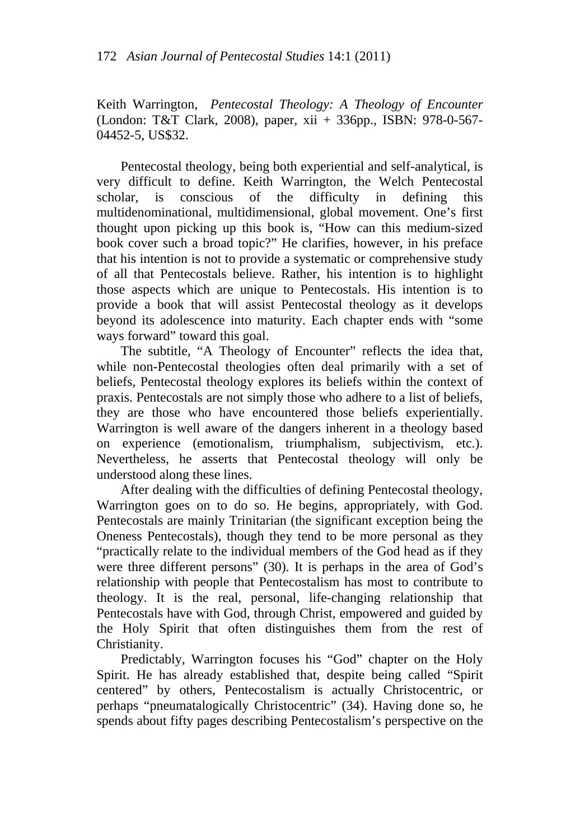Keith Warrington, *Pentecostal Theology: A Theology of Encounter* (London: T&T Clark, 2008), paper, xii + 336pp., ISBN: 978-0-567- 04452-5, US\$32.

Pentecostal theology, being both experiential and self-analytical, is very difficult to define. Keith Warrington, the Welch Pentecostal scholar, is conscious of the difficulty in defining this multidenominational, multidimensional, global movement. One's first thought upon picking up this book is, "How can this medium-sized book cover such a broad topic?" He clarifies, however, in his preface that his intention is not to provide a systematic or comprehensive study of all that Pentecostals believe. Rather, his intention is to highlight those aspects which are unique to Pentecostals. His intention is to provide a book that will assist Pentecostal theology as it develops beyond its adolescence into maturity. Each chapter ends with "some ways forward" toward this goal.

The subtitle, "A Theology of Encounter" reflects the idea that, while non-Pentecostal theologies often deal primarily with a set of beliefs, Pentecostal theology explores its beliefs within the context of praxis. Pentecostals are not simply those who adhere to a list of beliefs, they are those who have encountered those beliefs experientially. Warrington is well aware of the dangers inherent in a theology based on experience (emotionalism, triumphalism, subjectivism, etc.). Nevertheless, he asserts that Pentecostal theology will only be understood along these lines.

After dealing with the difficulties of defining Pentecostal theology, Warrington goes on to do so. He begins, appropriately, with God. Pentecostals are mainly Trinitarian (the significant exception being the Oneness Pentecostals), though they tend to be more personal as they "practically relate to the individual members of the God head as if they were three different persons" (30). It is perhaps in the area of God's relationship with people that Pentecostalism has most to contribute to theology. It is the real, personal, life-changing relationship that Pentecostals have with God, through Christ, empowered and guided by the Holy Spirit that often distinguishes them from the rest of Christianity.

Predictably, Warrington focuses his "God" chapter on the Holy Spirit. He has already established that, despite being called "Spirit centered" by others, Pentecostalism is actually Christocentric, or perhaps "pneumatalogically Christocentric" (34). Having done so, he spends about fifty pages describing Pentecostalism's perspective on the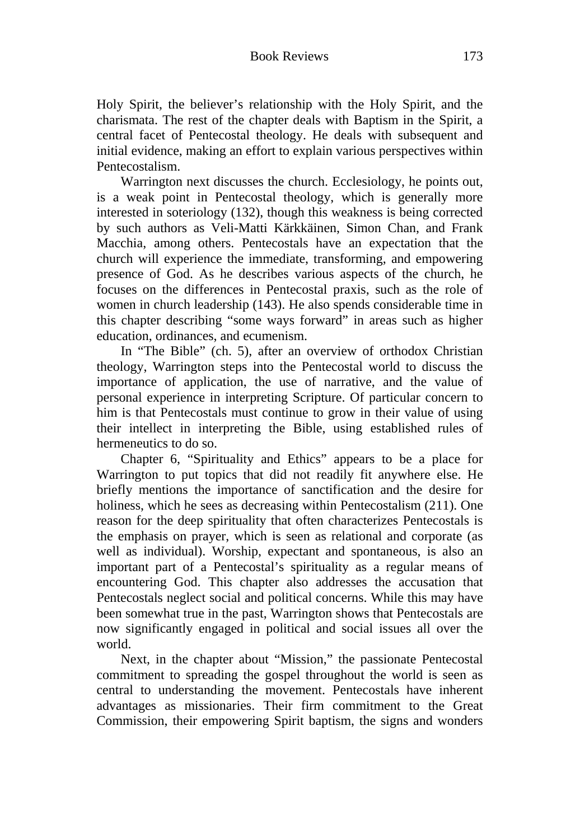Holy Spirit, the believer's relationship with the Holy Spirit, and the charismata. The rest of the chapter deals with Baptism in the Spirit, a central facet of Pentecostal theology. He deals with subsequent and initial evidence, making an effort to explain various perspectives within Pentecostalism.

Warrington next discusses the church. Ecclesiology, he points out, is a weak point in Pentecostal theology, which is generally more interested in soteriology (132), though this weakness is being corrected by such authors as Veli-Matti Kärkkäinen, Simon Chan, and Frank Macchia, among others. Pentecostals have an expectation that the church will experience the immediate, transforming, and empowering presence of God. As he describes various aspects of the church, he focuses on the differences in Pentecostal praxis, such as the role of women in church leadership (143). He also spends considerable time in this chapter describing "some ways forward" in areas such as higher education, ordinances, and ecumenism.

In "The Bible" (ch. 5), after an overview of orthodox Christian theology, Warrington steps into the Pentecostal world to discuss the importance of application, the use of narrative, and the value of personal experience in interpreting Scripture. Of particular concern to him is that Pentecostals must continue to grow in their value of using their intellect in interpreting the Bible, using established rules of hermeneutics to do so.

Chapter 6, "Spirituality and Ethics" appears to be a place for Warrington to put topics that did not readily fit anywhere else. He briefly mentions the importance of sanctification and the desire for holiness, which he sees as decreasing within Pentecostalism (211). One reason for the deep spirituality that often characterizes Pentecostals is the emphasis on prayer, which is seen as relational and corporate (as well as individual). Worship, expectant and spontaneous, is also an important part of a Pentecostal's spirituality as a regular means of encountering God. This chapter also addresses the accusation that Pentecostals neglect social and political concerns. While this may have been somewhat true in the past, Warrington shows that Pentecostals are now significantly engaged in political and social issues all over the world.

Next, in the chapter about "Mission," the passionate Pentecostal commitment to spreading the gospel throughout the world is seen as central to understanding the movement. Pentecostals have inherent advantages as missionaries. Their firm commitment to the Great Commission, their empowering Spirit baptism, the signs and wonders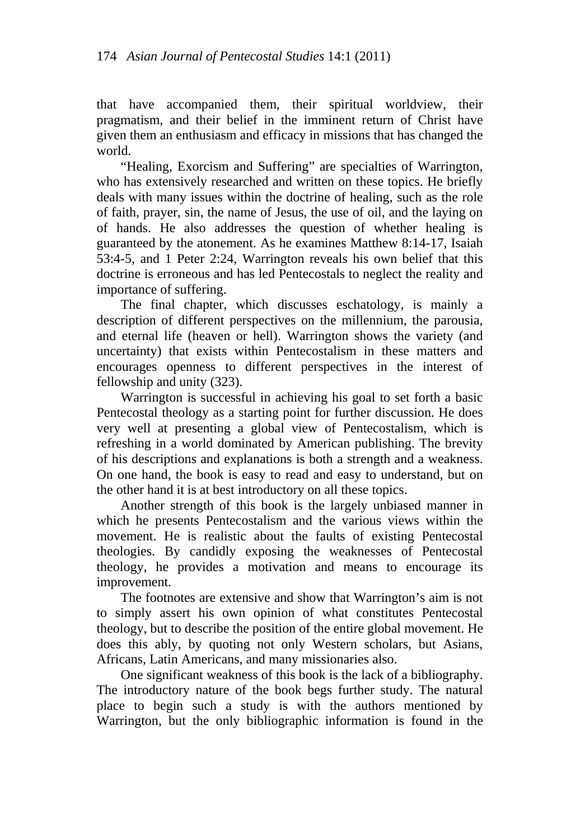that have accompanied them, their spiritual worldview, their pragmatism, and their belief in the imminent return of Christ have given them an enthusiasm and efficacy in missions that has changed the world.

"Healing, Exorcism and Suffering" are specialties of Warrington, who has extensively researched and written on these topics. He briefly deals with many issues within the doctrine of healing, such as the role of faith, prayer, sin, the name of Jesus, the use of oil, and the laying on of hands. He also addresses the question of whether healing is guaranteed by the atonement. As he examines Matthew 8:14-17, Isaiah 53:4-5, and 1 Peter 2:24, Warrington reveals his own belief that this doctrine is erroneous and has led Pentecostals to neglect the reality and importance of suffering.

The final chapter, which discusses eschatology, is mainly a description of different perspectives on the millennium, the parousia, and eternal life (heaven or hell). Warrington shows the variety (and uncertainty) that exists within Pentecostalism in these matters and encourages openness to different perspectives in the interest of fellowship and unity (323).

Warrington is successful in achieving his goal to set forth a basic Pentecostal theology as a starting point for further discussion. He does very well at presenting a global view of Pentecostalism, which is refreshing in a world dominated by American publishing. The brevity of his descriptions and explanations is both a strength and a weakness. On one hand, the book is easy to read and easy to understand, but on the other hand it is at best introductory on all these topics.

Another strength of this book is the largely unbiased manner in which he presents Pentecostalism and the various views within the movement. He is realistic about the faults of existing Pentecostal theologies. By candidly exposing the weaknesses of Pentecostal theology, he provides a motivation and means to encourage its improvement.

The footnotes are extensive and show that Warrington's aim is not to simply assert his own opinion of what constitutes Pentecostal theology, but to describe the position of the entire global movement. He does this ably, by quoting not only Western scholars, but Asians, Africans, Latin Americans, and many missionaries also.

One significant weakness of this book is the lack of a bibliography. The introductory nature of the book begs further study. The natural place to begin such a study is with the authors mentioned by Warrington, but the only bibliographic information is found in the